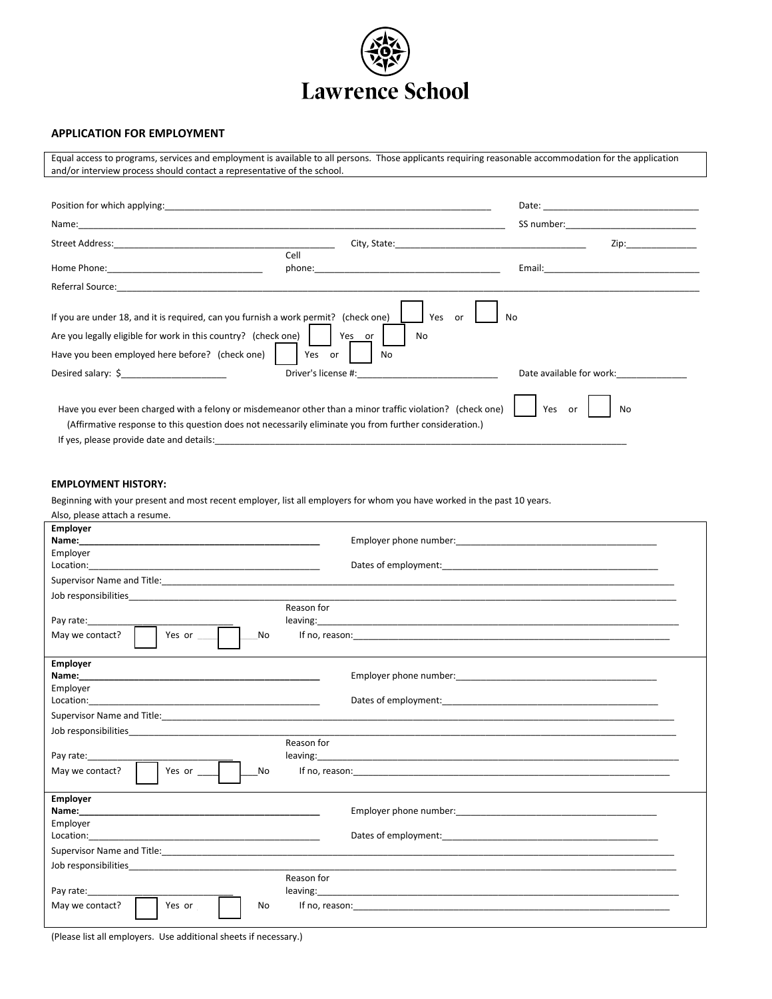

# **APPLICATION FOR EMPLOYMENT**

Equal access to programs, services and employment is available to all persons. Those applicants requiring reasonable accommodation for the application and/or interview process should contact a representative of the school.

| Position for which applying:                                                                                                                                                                                                   | <u> 1980 - Jan James James Jan James James James James James James James James James James James James James Jam</u>                                                                                                           | Date:<br><u> 1980 - Jan James Barnett, fransk kongresu.</u> |
|--------------------------------------------------------------------------------------------------------------------------------------------------------------------------------------------------------------------------------|--------------------------------------------------------------------------------------------------------------------------------------------------------------------------------------------------------------------------------|-------------------------------------------------------------|
|                                                                                                                                                                                                                                |                                                                                                                                                                                                                                | SS number:                                                  |
| Street Address: The Contract of the Contract of the Contract of the Contract of the Contract of the Contract of the Contract of the Contract of the Contract of the Contract of the Contract of the Contract of the Contract o | City, State: National Accounts and Accounts and Accounts and Accounts are also been accounted as a series of the state of the state of the state of the state of the state of the state of the state of the state of the state | Zip:                                                        |
|                                                                                                                                                                                                                                | Cell                                                                                                                                                                                                                           |                                                             |
| Home Phone: Now a series and the series of the series of the series of the series of the series of the series of the series of the series of the series of the series of the series of the series of the series of the series  | phone:                                                                                                                                                                                                                         | Email:                                                      |
| Referral Source: The Commission of the Commission of the Commission of the Commission of the Commission of the                                                                                                                 |                                                                                                                                                                                                                                |                                                             |
| If you are under 18, and it is required, can you furnish a work permit? (check one)<br>Are you legally eligible for work in this country? (check one)<br>Have you been employed here before? (check one)                       | Yes<br>or<br>Yes or<br>No<br>Yes<br>No<br>.or                                                                                                                                                                                  | No                                                          |
| Desired salary: $\oint$                                                                                                                                                                                                        | Driver's license #:                                                                                                                                                                                                            | Date available for work:                                    |
| If yes, please provide date and details:                                                                                                                                                                                       | Have you ever been charged with a felony or misdemeanor other than a minor traffic violation? (check one)<br>(Affirmative response to this question does not necessarily eliminate you from further consideration.)            | Yes<br>No<br>or                                             |

### **EMPLOYMENT HISTORY:**

Beginning with your present and most recent employer, list all employers for whom you have worked in the past 10 years.

Also, please attach a resume.

| Employer                                                                                                                                                                                                                       |                                                                                                                                                                                                                                    |
|--------------------------------------------------------------------------------------------------------------------------------------------------------------------------------------------------------------------------------|------------------------------------------------------------------------------------------------------------------------------------------------------------------------------------------------------------------------------------|
| Name:                                                                                                                                                                                                                          | Employer phone number: The contract of the contract of the contract of the contract of the contract of the contract of the contract of the contract of the contract of the contract of the contract of the contract of the con     |
| Employer                                                                                                                                                                                                                       |                                                                                                                                                                                                                                    |
|                                                                                                                                                                                                                                |                                                                                                                                                                                                                                    |
|                                                                                                                                                                                                                                |                                                                                                                                                                                                                                    |
| Job responsibilities <b>Analyzine and Container</b> and Container and Container                                                                                                                                                |                                                                                                                                                                                                                                    |
| Reason for                                                                                                                                                                                                                     |                                                                                                                                                                                                                                    |
| Pay rate:___________                                                                                                                                                                                                           |                                                                                                                                                                                                                                    |
| May we contact?<br>Yes or<br>No                                                                                                                                                                                                | If no, reason: <b>Example 2018 Contract Contract Contract Contract Contract Contract Contract Contract Contract Contract Contract Contract Contract Contract Contract Contract Contract Contract Contract Contract Contract Co</b> |
| <b>Employer</b>                                                                                                                                                                                                                |                                                                                                                                                                                                                                    |
|                                                                                                                                                                                                                                |                                                                                                                                                                                                                                    |
| Employer                                                                                                                                                                                                                       |                                                                                                                                                                                                                                    |
|                                                                                                                                                                                                                                | Dates of employment: example and a series of employment:                                                                                                                                                                           |
|                                                                                                                                                                                                                                |                                                                                                                                                                                                                                    |
|                                                                                                                                                                                                                                |                                                                                                                                                                                                                                    |
| Reason for                                                                                                                                                                                                                     |                                                                                                                                                                                                                                    |
|                                                                                                                                                                                                                                |                                                                                                                                                                                                                                    |
| <b>No</b><br>Yes or $\_\_$<br>May we contact?                                                                                                                                                                                  |                                                                                                                                                                                                                                    |
| Employer                                                                                                                                                                                                                       |                                                                                                                                                                                                                                    |
|                                                                                                                                                                                                                                | Employer phone number: The contract of the contract of the contract of the contract of the contract of the contract of the contract of the contract of the contract of the contract of the contract of the contract of the con     |
| Employer                                                                                                                                                                                                                       |                                                                                                                                                                                                                                    |
|                                                                                                                                                                                                                                | Dates of employment: example and a series of employment:                                                                                                                                                                           |
|                                                                                                                                                                                                                                |                                                                                                                                                                                                                                    |
| Job responsibilities and the state of the state of the state of the state of the state of the state of the state of the state of the state of the state of the state of the state of the state of the state of the state of th |                                                                                                                                                                                                                                    |
| Reason for                                                                                                                                                                                                                     |                                                                                                                                                                                                                                    |
| Pay rate:                                                                                                                                                                                                                      |                                                                                                                                                                                                                                    |
| May we contact?<br>Yes or<br><b>No</b>                                                                                                                                                                                         |                                                                                                                                                                                                                                    |

(Please list all employers. Use additional sheets if necessary.)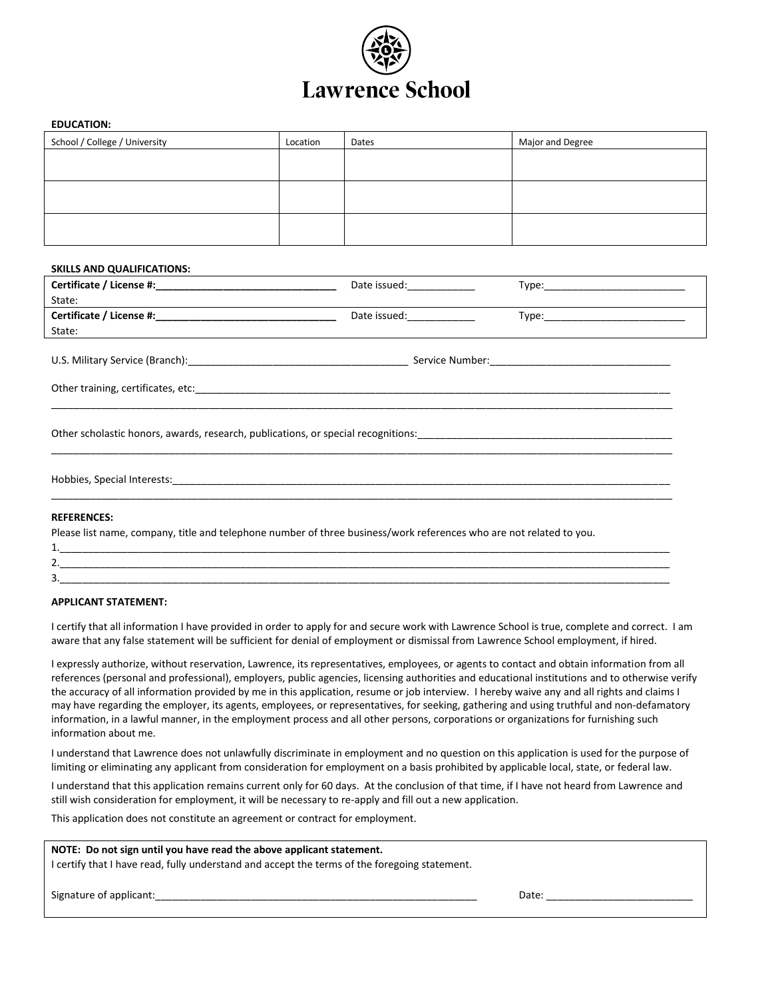

### **EDUCATION:**

| School / College / University | Location | Dates | Major and Degree |
|-------------------------------|----------|-------|------------------|
|                               |          |       |                  |
|                               |          |       |                  |
|                               |          |       |                  |
|                               |          |       |                  |
|                               |          |       |                  |
|                               |          |       |                  |

### **SKILLS AND QUALIFICATIONS:**

|                                                                                                                                                                                                                                         | Date issued: Note that the same of the same of the same of the same of the same of the same of the same of the |  |  |  |
|-----------------------------------------------------------------------------------------------------------------------------------------------------------------------------------------------------------------------------------------|----------------------------------------------------------------------------------------------------------------|--|--|--|
| State:<br>the control of the control of the control of the control of the control of the control of the control of the control of the control of the control of the control of the control of the control of the control of the control |                                                                                                                |  |  |  |
|                                                                                                                                                                                                                                         | Date issued: _____________                                                                                     |  |  |  |
| State:                                                                                                                                                                                                                                  |                                                                                                                |  |  |  |
|                                                                                                                                                                                                                                         |                                                                                                                |  |  |  |
|                                                                                                                                                                                                                                         |                                                                                                                |  |  |  |
|                                                                                                                                                                                                                                         |                                                                                                                |  |  |  |
|                                                                                                                                                                                                                                         |                                                                                                                |  |  |  |
|                                                                                                                                                                                                                                         |                                                                                                                |  |  |  |
| <b>REFERENCES:</b>                                                                                                                                                                                                                      |                                                                                                                |  |  |  |
| Please list name, company, title and telephone number of three business/work references who are not related to you.                                                                                                                     |                                                                                                                |  |  |  |
|                                                                                                                                                                                                                                         |                                                                                                                |  |  |  |

#### **APPLICANT STATEMENT:**

I certify that all information I have provided in order to apply for and secure work with Lawrence School is true, complete and correct. I am aware that any false statement will be sufficient for denial of employment or dismissal from Lawrence School employment, if hired.

2.\_\_\_\_\_\_\_\_\_\_\_\_\_\_\_\_\_\_\_\_\_\_\_\_\_\_\_\_\_\_\_\_\_\_\_\_\_\_\_\_\_\_\_\_\_\_\_\_\_\_\_\_\_\_\_\_\_\_\_\_\_\_\_\_\_\_\_\_\_\_\_\_\_\_\_\_\_\_\_\_\_\_\_\_\_\_\_\_\_\_\_\_\_\_\_\_\_\_\_\_\_\_\_\_\_\_\_\_ 3.\_\_\_\_\_\_\_\_\_\_\_\_\_\_\_\_\_\_\_\_\_\_\_\_\_\_\_\_\_\_\_\_\_\_\_\_\_\_\_\_\_\_\_\_\_\_\_\_\_\_\_\_\_\_\_\_\_\_\_\_\_\_\_\_\_\_\_\_\_\_\_\_\_\_\_\_\_\_\_\_\_\_\_\_\_\_\_\_\_\_\_\_\_\_\_\_\_\_\_\_\_\_\_\_\_\_\_\_

I expressly authorize, without reservation, Lawrence, its representatives, employees, or agents to contact and obtain information from all references (personal and professional), employers, public agencies, licensing authorities and educational institutions and to otherwise verify the accuracy of all information provided by me in this application, resume or job interview. I hereby waive any and all rights and claims I may have regarding the employer, its agents, employees, or representatives, for seeking, gathering and using truthful and non-defamatory information, in a lawful manner, in the employment process and all other persons, corporations or organizations for furnishing such information about me.

I understand that Lawrence does not unlawfully discriminate in employment and no question on this application is used for the purpose of limiting or eliminating any applicant from consideration for employment on a basis prohibited by applicable local, state, or federal law.

I understand that this application remains current only for 60 days. At the conclusion of that time, if I have not heard from Lawrence and still wish consideration for employment, it will be necessary to re-apply and fill out a new application.

This application does not constitute an agreement or contract for employment.

## **NOTE: Do not sign until you have read the above applicant statement.**

I certify that I have read, fully understand and accept the terms of the foregoing statement.

Signature of applicant:\_\_\_\_\_\_\_\_\_\_\_\_\_\_\_\_\_\_\_\_\_\_\_\_\_\_\_\_\_\_\_\_\_\_\_\_\_\_\_\_\_\_\_\_\_\_\_\_\_\_\_\_\_\_\_\_\_ Date: \_\_\_\_\_\_\_\_\_\_\_\_\_\_\_\_\_\_\_\_\_\_\_\_\_\_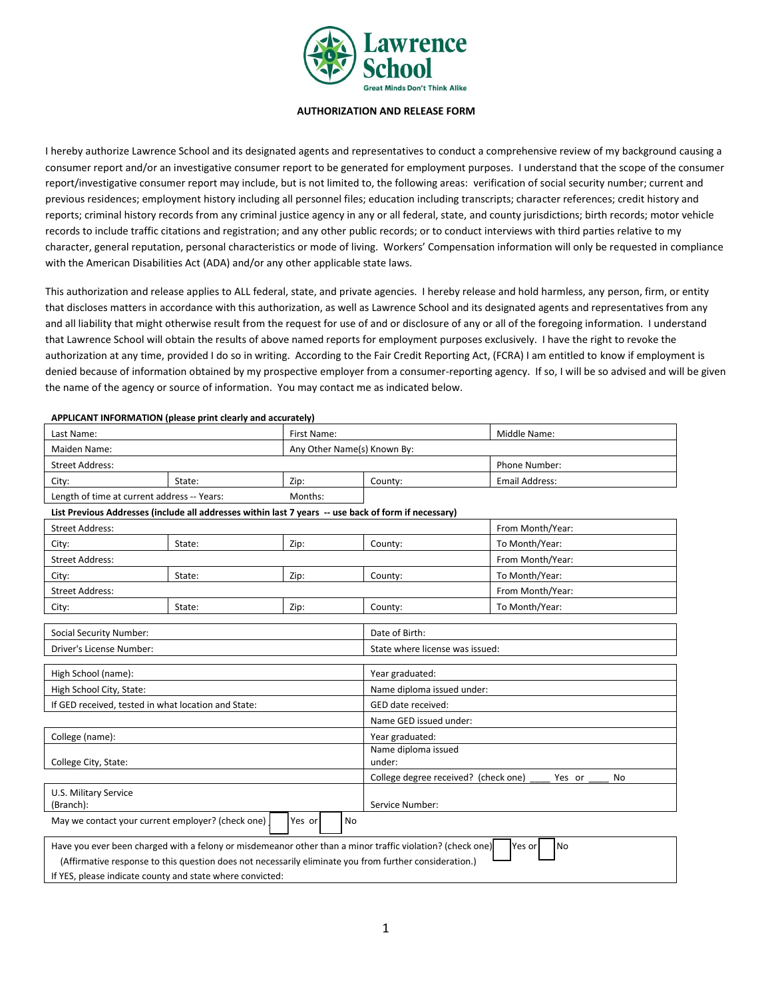

### **AUTHORIZATION AND RELEASE FORM**

I hereby authorize Lawrence School and its designated agents and representatives to conduct a comprehensive review of my background causing a consumer report and/or an investigative consumer report to be generated for employment purposes. I understand that the scope of the consumer report/investigative consumer report may include, but is not limited to, the following areas: verification of social security number; current and previous residences; employment history including all personnel files; education including transcripts; character references; credit history and reports; criminal history records from any criminal justice agency in any or all federal, state, and county jurisdictions; birth records; motor vehicle records to include traffic citations and registration; and any other public records; or to conduct interviews with third parties relative to my character, general reputation, personal characteristics or mode of living. Workers' Compensation information will only be requested in compliance with the American Disabilities Act (ADA) and/or any other applicable state laws.

This authorization and release applies to ALL federal, state, and private agencies. I hereby release and hold harmless, any person, firm, or entity that discloses matters in accordance with this authorization, as well as Lawrence School and its designated agents and representatives from any and all liability that might otherwise result from the request for use of and or disclosure of any or all of the foregoing information. I understand that Lawrence School will obtain the results of above named reports for employment purposes exclusively. I have the right to revoke the authorization at any time, provided I do so in writing. According to the Fair Credit Reporting Act, (FCRA) I am entitled to know if employment is denied because of information obtained by my prospective employer from a consumer-reporting agency. If so, I will be so advised and will be given the name of the agency or source of information. You may contact me as indicated below.

**APPLICANT INFORMATION (please print clearly and accurately)**

| First Name:<br>Last Name:                   |        |         |               | Middle Name:   |
|---------------------------------------------|--------|---------|---------------|----------------|
| Any Other Name(s) Known By:<br>Maiden Name: |        |         |               |                |
| Street Address:                             |        |         | Phone Number: |                |
| City:                                       | State: | Zip:    | County:       | Email Address: |
| Length of time at current address -- Years: |        | Months: |               |                |

## **List Previous Addresses (include all addresses within last 7 years -- use back of form if necessary)**

| <b>Street Address:</b>                                                                                                                                                                                                                                                                                                                                 |        |                 |                                 | From Month/Year:                                     |  |
|--------------------------------------------------------------------------------------------------------------------------------------------------------------------------------------------------------------------------------------------------------------------------------------------------------------------------------------------------------|--------|-----------------|---------------------------------|------------------------------------------------------|--|
| City:                                                                                                                                                                                                                                                                                                                                                  | State: | Zip:            | County:                         | To Month/Year:                                       |  |
| <b>Street Address:</b>                                                                                                                                                                                                                                                                                                                                 |        |                 |                                 | From Month/Year:                                     |  |
| City:                                                                                                                                                                                                                                                                                                                                                  | State: | Zip:            | County:                         | To Month/Year:                                       |  |
| <b>Street Address:</b>                                                                                                                                                                                                                                                                                                                                 |        |                 |                                 | From Month/Year:                                     |  |
| City:                                                                                                                                                                                                                                                                                                                                                  | State: | Zip:            | County:                         | To Month/Year:                                       |  |
| <b>Social Security Number:</b>                                                                                                                                                                                                                                                                                                                         |        | Date of Birth:  |                                 |                                                      |  |
| Driver's License Number:                                                                                                                                                                                                                                                                                                                               |        |                 | State where license was issued: |                                                      |  |
| High School (name):                                                                                                                                                                                                                                                                                                                                    |        |                 | Year graduated:                 |                                                      |  |
| High School City, State:                                                                                                                                                                                                                                                                                                                               |        |                 | Name diploma issued under:      |                                                      |  |
| If GED received, tested in what location and State:                                                                                                                                                                                                                                                                                                    |        |                 | GED date received:              |                                                      |  |
|                                                                                                                                                                                                                                                                                                                                                        |        |                 | Name GED issued under:          |                                                      |  |
| College (name):                                                                                                                                                                                                                                                                                                                                        |        | Year graduated: |                                 |                                                      |  |
| College City, State:                                                                                                                                                                                                                                                                                                                                   |        | under:          | Name diploma issued             |                                                      |  |
|                                                                                                                                                                                                                                                                                                                                                        |        |                 |                                 | College degree received? (check one)<br>No<br>Yes or |  |
| U.S. Military Service<br>(Branch):                                                                                                                                                                                                                                                                                                                     |        | Service Number: |                                 |                                                      |  |
| May we contact your current employer? (check one)<br>Yes or<br>No                                                                                                                                                                                                                                                                                      |        |                 |                                 |                                                      |  |
| Have you ever been charged with a felony or misdemeanor other than a minor traffic violation? (check one)<br>Yes or<br>No<br>(Affirmative response to this question does not necessarily eliminate you from further consideration.)<br>the contract of the contract of the contract of the contract of the contract of the contract of the contract of |        |                 |                                 |                                                      |  |

If YES, please indicate county and state where convicted: